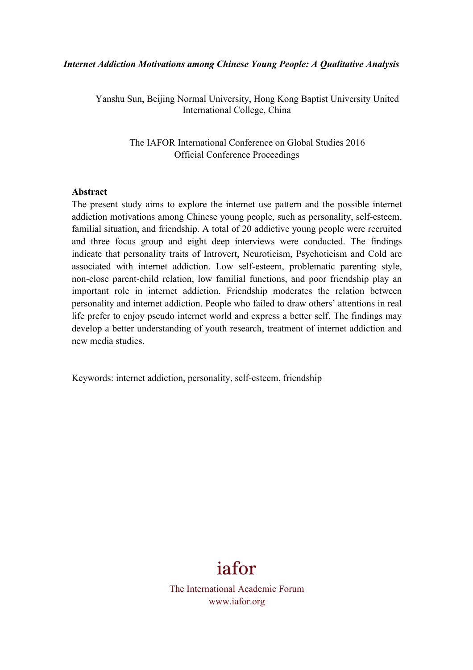#### *Internet Addiction Motivations among Chinese Young People: A Qualitative Analysis*

Yanshu Sun, Beijing Normal University, Hong Kong Baptist University United International College, China

> The IAFOR International Conference on Global Studies 2016 Official Conference Proceedings

#### **Abstract**

The present study aims to explore the internet use pattern and the possible internet addiction motivations among Chinese young people, such as personality, self-esteem, familial situation, and friendship. A total of 20 addictive young people were recruited and three focus group and eight deep interviews were conducted. The findings indicate that personality traits of Introvert, Neuroticism, Psychoticism and Cold are associated with internet addiction. Low self-esteem, problematic parenting style, non-close parent-child relation, low familial functions, and poor friendship play an important role in internet addiction. Friendship moderates the relation between personality and internet addiction. People who failed to draw others' attentions in real life prefer to enjoy pseudo internet world and express a better self. The findings may develop a better understanding of youth research, treatment of internet addiction and new media studies.

Keywords: internet addiction, personality, self-esteem, friendship

# iafor

The International Academic Forum www.iafor.org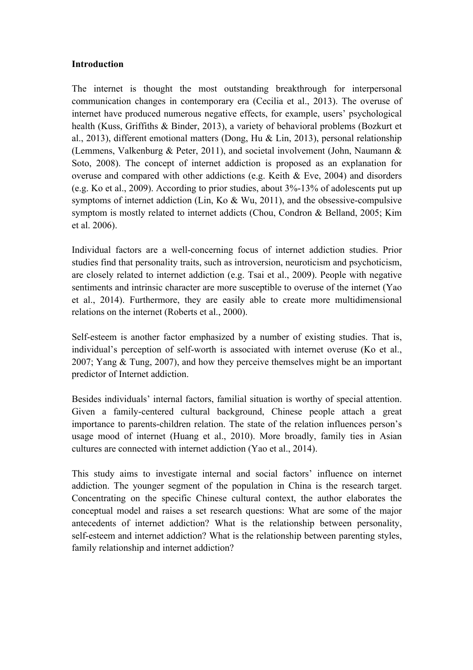## **Introduction**

The internet is thought the most outstanding breakthrough for interpersonal communication changes in contemporary era (Cecilia et al., 2013). The overuse of internet have produced numerous negative effects, for example, users' psychological health (Kuss, Griffiths & Binder, 2013), a variety of behavioral problems (Bozkurt et al., 2013), different emotional matters (Dong, Hu & Lin, 2013), personal relationship (Lemmens, Valkenburg & Peter, 2011), and societal involvement (John, Naumann & Soto, 2008). The concept of internet addiction is proposed as an explanation for overuse and compared with other addictions (e.g. Keith & Eve, 2004) and disorders (e.g. Ko et al., 2009). According to prior studies, about 3%-13% of adolescents put up symptoms of internet addiction (Lin, Ko & Wu, 2011), and the obsessive-compulsive symptom is mostly related to internet addicts (Chou, Condron & Belland, 2005; Kim et al. 2006).

Individual factors are a well-concerning focus of internet addiction studies. Prior studies find that personality traits, such as introversion, neuroticism and psychoticism, are closely related to internet addiction (e.g. Tsai et al., 2009). People with negative sentiments and intrinsic character are more susceptible to overuse of the internet (Yao et al., 2014). Furthermore, they are easily able to create more multidimensional relations on the internet (Roberts et al., 2000).

Self-esteem is another factor emphasized by a number of existing studies. That is, individual's perception of self-worth is associated with internet overuse (Ko et al., 2007; Yang & Tung, 2007), and how they perceive themselves might be an important predictor of Internet addiction.

Besides individuals' internal factors, familial situation is worthy of special attention. Given a family-centered cultural background, Chinese people attach a great importance to parents-children relation. The state of the relation influences person's usage mood of internet (Huang et al., 2010). More broadly, family ties in Asian cultures are connected with internet addiction (Yao et al., 2014).

This study aims to investigate internal and social factors' influence on internet addiction. The younger segment of the population in China is the research target. Concentrating on the specific Chinese cultural context, the author elaborates the conceptual model and raises a set research questions: What are some of the major antecedents of internet addiction? What is the relationship between personality, self-esteem and internet addiction? What is the relationship between parenting styles, family relationship and internet addiction?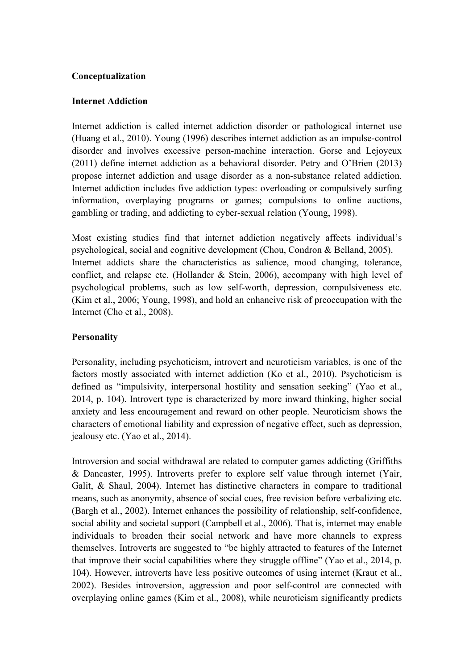## **Conceptualization**

## **Internet Addiction**

Internet addiction is called internet addiction disorder or pathological internet use (Huang et al., 2010). Young (1996) describes internet addiction as an impulse-control disorder and involves excessive person-machine interaction. Gorse and Lejoyeux (2011) define internet addiction as a behavioral disorder. Petry and O'Brien (2013) propose internet addiction and usage disorder as a non-substance related addiction. Internet addiction includes five addiction types: overloading or compulsively surfing information, overplaying programs or games; compulsions to online auctions, gambling or trading, and addicting to cyber-sexual relation (Young, 1998).

Most existing studies find that internet addiction negatively affects individual's psychological, social and cognitive development (Chou, Condron & Belland, 2005). Internet addicts share the characteristics as salience, mood changing, tolerance, conflict, and relapse etc. (Hollander & Stein, 2006), accompany with high level of psychological problems, such as low self-worth, depression, compulsiveness etc. (Kim et al., 2006; Young, 1998), and hold an enhancive risk of preoccupation with the Internet (Cho et al., 2008).

# **Personality**

Personality, including psychoticism, introvert and neuroticism variables, is one of the factors mostly associated with internet addiction (Ko et al., 2010). Psychoticism is defined as "impulsivity, interpersonal hostility and sensation seeking" (Yao et al., 2014, p. 104). Introvert type is characterized by more inward thinking, higher social anxiety and less encouragement and reward on other people. Neuroticism shows the characters of emotional liability and expression of negative effect, such as depression, jealousy etc. (Yao et al., 2014).

Introversion and social withdrawal are related to computer games addicting (Griffiths & Dancaster, 1995). Introverts prefer to explore self value through internet (Yair, Galit, & Shaul, 2004). Internet has distinctive characters in compare to traditional means, such as anonymity, absence of social cues, free revision before verbalizing etc. (Bargh et al., 2002). Internet enhances the possibility of relationship, self-confidence, social ability and societal support (Campbell et al., 2006). That is, internet may enable individuals to broaden their social network and have more channels to express themselves. Introverts are suggested to "be highly attracted to features of the Internet that improve their social capabilities where they struggle offline" (Yao et al., 2014, p. 104). However, introverts have less positive outcomes of using internet (Kraut et al., 2002). Besides introversion, aggression and poor self-control are connected with overplaying online games (Kim et al., 2008), while neuroticism significantly predicts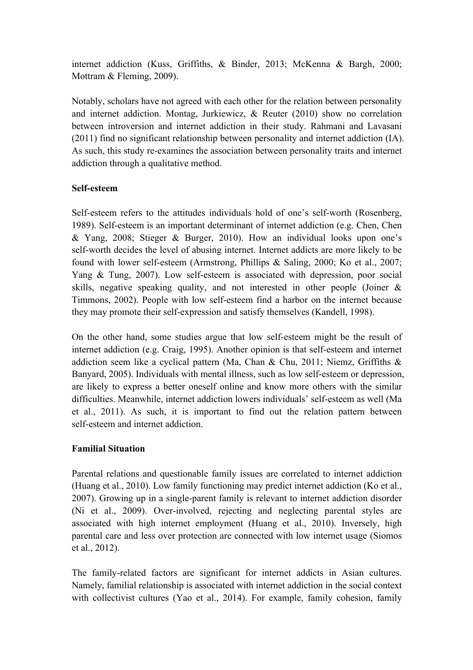internet addiction (Kuss, Griffiths, & Binder, 2013; McKenna & Bargh, 2000; Mottram & Fleming, 2009).

Notably, scholars have not agreed with each other for the relation between personality and internet addiction. Montag, Jurkiewicz, & Reuter (2010) show no correlation between introversion and internet addiction in their study. Rahmani and Lavasani (2011) find no significant relationship between personality and internet addiction (IA). As such, this study re-examines the association between personality traits and internet addiction through a qualitative method.

# **Self-esteem**

Self-esteem refers to the attitudes individuals hold of one's self-worth (Rosenberg, 1989). Self-esteem is an important determinant of internet addiction (e.g. Chen, Chen & Yang, 2008; Stieger & Burger, 2010). How an individual looks upon one's self-worth decides the level of abusing internet. Internet addicts are more likely to be found with lower self-esteem (Armstrong, Phillips & Saling, 2000; Ko et al., 2007; Yang & Tung, 2007). Low self-esteem is associated with depression, poor social skills, negative speaking quality, and not interested in other people (Joiner & Timmons, 2002). People with low self-esteem find a harbor on the internet because they may promote their self-expression and satisfy themselves (Kandell, 1998).

On the other hand, some studies argue that low self-esteem might be the result of internet addiction (e.g. Craig, 1995). Another opinion is that self-esteem and internet addiction seem like a cyclical pattern (Ma, Chan & Chu, 2011; Niemz, Griffiths & Banyard, 2005). Individuals with mental illness, such as low self-esteem or depression, are likely to express a better oneself online and know more others with the similar difficulties. Meanwhile, internet addiction lowers individuals' self-esteem as well (Ma et al., 2011). As such, it is important to find out the relation pattern between self-esteem and internet addiction.

# **Familial Situation**

Parental relations and questionable family issues are correlated to internet addiction (Huang et al., 2010). Low family functioning may predict internet addiction (Ko et al., 2007). Growing up in a single-parent family is relevant to internet addiction disorder (Ni et al., 2009). Over-involved, rejecting and neglecting parental styles are associated with high internet employment (Huang et al., 2010). Inversely, high parental care and less over protection are connected with low internet usage (Siomos et al., 2012).

The family-related factors are significant for internet addicts in Asian cultures. Namely, familial relationship is associated with internet addiction in the social context with collectivist cultures (Yao et al., 2014). For example, family cohesion, family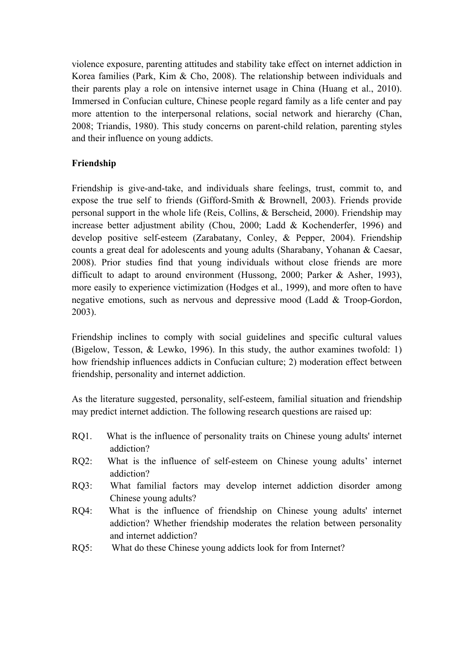violence exposure, parenting attitudes and stability take effect on internet addiction in Korea families (Park, Kim & Cho, 2008). The relationship between individuals and their parents play a role on intensive internet usage in China (Huang et al., 2010). Immersed in Confucian culture, Chinese people regard family as a life center and pay more attention to the interpersonal relations, social network and hierarchy (Chan, 2008; Triandis, 1980). This study concerns on parent-child relation, parenting styles and their influence on young addicts.

# **Friendship**

Friendship is give-and-take, and individuals share feelings, trust, commit to, and expose the true self to friends (Gifford-Smith & Brownell, 2003). Friends provide personal support in the whole life (Reis, Collins, & Berscheid, 2000). Friendship may increase better adjustment ability (Chou, 2000; Ladd & Kochenderfer, 1996) and develop positive self-esteem (Zarabatany, Conley, & Pepper, 2004). Friendship counts a great deal for adolescents and young adults (Sharabany, Yohanan & Caesar, 2008). Prior studies find that young individuals without close friends are more difficult to adapt to around environment (Hussong, 2000; Parker & Asher, 1993), more easily to experience victimization (Hodges et al., 1999), and more often to have negative emotions, such as nervous and depressive mood (Ladd & Troop-Gordon, 2003).

Friendship inclines to comply with social guidelines and specific cultural values (Bigelow, Tesson, & Lewko, 1996). In this study, the author examines twofold: 1) how friendship influences addicts in Confucian culture; 2) moderation effect between friendship, personality and internet addiction.

As the literature suggested, personality, self-esteem, familial situation and friendship may predict internet addiction. The following research questions are raised up:

- RQ1. What is the influence of personality traits on Chinese young adults' internet addiction?
- RQ2: What is the influence of self-esteem on Chinese young adults' internet addiction?
- RQ3: What familial factors may develop internet addiction disorder among Chinese young adults?
- RQ4: What is the influence of friendship on Chinese young adults' internet addiction? Whether friendship moderates the relation between personality and internet addiction?
- RQ5: What do these Chinese young addicts look for from Internet?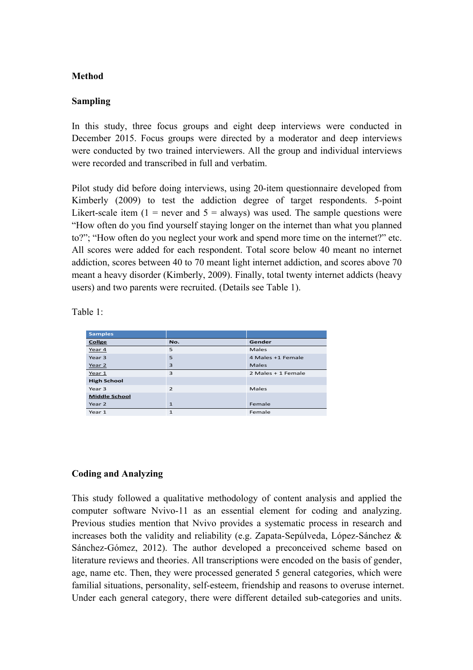## **Method**

## **Sampling**

In this study, three focus groups and eight deep interviews were conducted in December 2015. Focus groups were directed by a moderator and deep interviews were conducted by two trained interviewers. All the group and individual interviews were recorded and transcribed in full and verbatim.

Pilot study did before doing interviews, using 20-item questionnaire developed from Kimberly (2009) to test the addiction degree of target respondents. 5-point Likert-scale item  $(1 =$  never and  $5 =$  always) was used. The sample questions were "How often do you find yourself staying longer on the internet than what you planned to?"; "How often do you neglect your work and spend more time on the internet?" etc. All scores were added for each respondent. Total score below 40 meant no internet addiction, scores between 40 to 70 meant light internet addiction, and scores above 70 meant a heavy disorder (Kimberly, 2009). Finally, total twenty internet addicts (heavy users) and two parents were recruited. (Details see Table 1).

Table 1:

| <b>Samples</b>       |                |                    |
|----------------------|----------------|--------------------|
| Collge               | No.            | Gender             |
| Year 4               | 5              | Males              |
| Year <sub>3</sub>    | 5              | 4 Males +1 Female  |
| Year 2               | 3              | Males              |
| Year 1               | 3              | 2 Males + 1 Female |
| <b>High School</b>   |                |                    |
| Year 3               | $\overline{2}$ | Males              |
| <b>Middle School</b> |                |                    |
| Year 2               | $\mathbf{1}$   | Female             |
| Year 1               | $\mathbf{1}$   | Female             |

#### **Coding and Analyzing**

This study followed a qualitative methodology of content analysis and applied the computer software Nvivo-11 as an essential element for coding and analyzing. Previous studies mention that Nvivo provides a systematic process in research and increases both the validity and reliability (e.g. Zapata-Sepúlveda, López-Sánchez & Sánchez-Gómez, 2012). The author developed a preconceived scheme based on literature reviews and theories. All transcriptions were encoded on the basis of gender, age, name etc. Then, they were processed generated 5 general categories, which were familial situations, personality, self-esteem, friendship and reasons to overuse internet. Under each general category, there were different detailed sub-categories and units.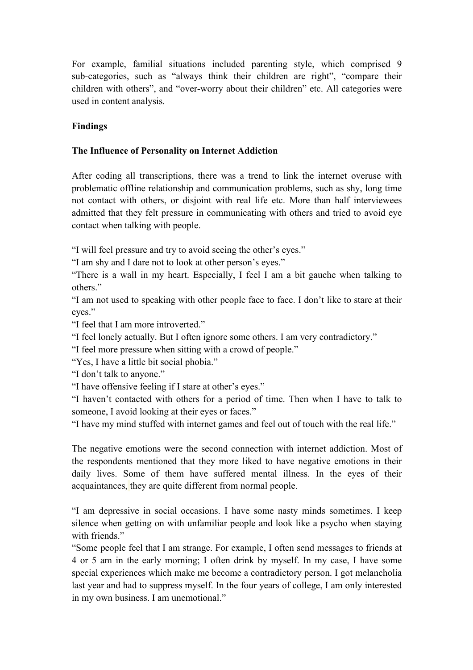For example, familial situations included parenting style, which comprised 9 sub-categories, such as "always think their children are right", "compare their children with others", and "over-worry about their children" etc. All categories were used in content analysis.

# **Findings**

# **The Influence of Personality on Internet Addiction**

After coding all transcriptions, there was a trend to link the internet overuse with problematic offline relationship and communication problems, such as shy, long time not contact with others, or disjoint with real life etc. More than half interviewees admitted that they felt pressure in communicating with others and tried to avoid eye contact when talking with people.

"I will feel pressure and try to avoid seeing the other's eyes."

"I am shy and I dare not to look at other person's eyes."

"There is a wall in my heart. Especially, I feel I am a bit gauche when talking to others."

"I am not used to speaking with other people face to face. I don't like to stare at their eyes."

"I feel that I am more introverted."

"I feel lonely actually. But I often ignore some others. I am very contradictory."

"I feel more pressure when sitting with a crowd of people."

"Yes, I have a little bit social phobia."

"I don't talk to anyone."

"I have offensive feeling if I stare at other's eyes."

"I haven't contacted with others for a period of time. Then when I have to talk to someone, I avoid looking at their eyes or faces."

"I have my mind stuffed with internet games and feel out of touch with the real life."

The negative emotions were the second connection with internet addiction. Most of the respondents mentioned that they more liked to have negative emotions in their daily lives. Some of them have suffered mental illness. In the eyes of their acquaintances, they are quite different from normal people.

"I am depressive in social occasions. I have some nasty minds sometimes. I keep silence when getting on with unfamiliar people and look like a psycho when staying with friends."

"Some people feel that I am strange. For example, I often send messages to friends at 4 or 5 am in the early morning; I often drink by myself. In my case, I have some special experiences which make me become a contradictory person. I got melancholia last year and had to suppress myself. In the four years of college, I am only interested in my own business. I am unemotional."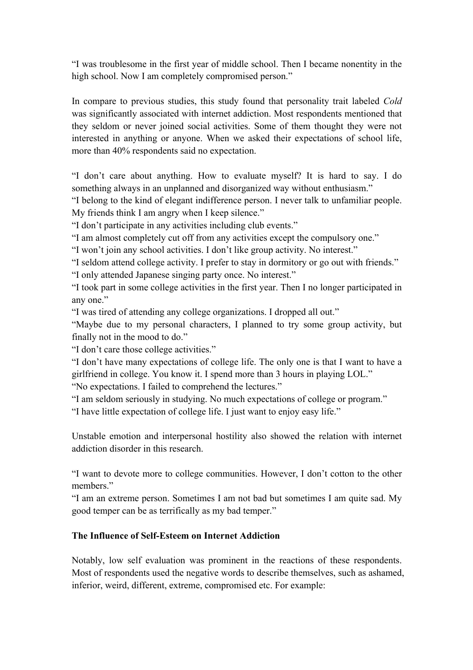"I was troublesome in the first year of middle school. Then I became nonentity in the high school. Now I am completely compromised person."

In compare to previous studies, this study found that personality trait labeled *Cold*  was significantly associated with internet addiction. Most respondents mentioned that they seldom or never joined social activities. Some of them thought they were not interested in anything or anyone. When we asked their expectations of school life, more than 40% respondents said no expectation.

"I don't care about anything. How to evaluate myself? It is hard to say. I do something always in an unplanned and disorganized way without enthusiasm."

"I belong to the kind of elegant indifference person. I never talk to unfamiliar people. My friends think I am angry when I keep silence."

"I don't participate in any activities including club events."

"I am almost completely cut off from any activities except the compulsory one."

"I won't join any school activities. I don't like group activity. No interest."

"I seldom attend college activity. I prefer to stay in dormitory or go out with friends." "I only attended Japanese singing party once. No interest."

"I took part in some college activities in the first year. Then I no longer participated in any one."

"I was tired of attending any college organizations. I dropped all out."

"Maybe due to my personal characters, I planned to try some group activity, but finally not in the mood to do."

"I don't care those college activities."

"I don't have many expectations of college life. The only one is that I want to have a girlfriend in college. You know it. I spend more than 3 hours in playing LOL." "No expectations. I failed to comprehend the lectures."

"I am seldom seriously in studying. No much expectations of college or program."

"I have little expectation of college life. I just want to enjoy easy life."

Unstable emotion and interpersonal hostility also showed the relation with internet addiction disorder in this research.

"I want to devote more to college communities. However, I don't cotton to the other members."

"I am an extreme person. Sometimes I am not bad but sometimes I am quite sad. My good temper can be as terrifically as my bad temper."

## **The Influence of Self-Esteem on Internet Addiction**

Notably, low self evaluation was prominent in the reactions of these respondents. Most of respondents used the negative words to describe themselves, such as ashamed, inferior, weird, different, extreme, compromised etc. For example: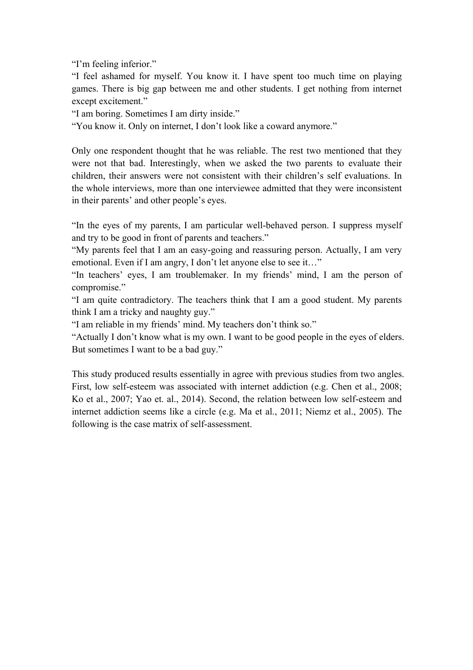"I'm feeling inferior."

"I feel ashamed for myself. You know it. I have spent too much time on playing games. There is big gap between me and other students. I get nothing from internet except excitement."

"I am boring. Sometimes I am dirty inside."

"You know it. Only on internet, I don't look like a coward anymore."

Only one respondent thought that he was reliable. The rest two mentioned that they were not that bad. Interestingly, when we asked the two parents to evaluate their children, their answers were not consistent with their children's self evaluations. In the whole interviews, more than one interviewee admitted that they were inconsistent in their parents' and other people's eyes.

"In the eyes of my parents, I am particular well-behaved person. I suppress myself and try to be good in front of parents and teachers."

"My parents feel that I am an easy-going and reassuring person. Actually, I am very emotional. Even if I am angry, I don't let anyone else to see it…"

"In teachers' eyes, I am troublemaker. In my friends' mind, I am the person of compromise."

"I am quite contradictory. The teachers think that I am a good student. My parents think I am a tricky and naughty guy."

"I am reliable in my friends' mind. My teachers don't think so."

"Actually I don't know what is my own. I want to be good people in the eyes of elders. But sometimes I want to be a bad guy."

This study produced results essentially in agree with previous studies from two angles. First, low self-esteem was associated with internet addiction (e.g. Chen et al., 2008; Ko et al., 2007; Yao et. al., 2014). Second, the relation between low self-esteem and internet addiction seems like a circle (e.g. Ma et al., 2011; Niemz et al., 2005). The following is the case matrix of self-assessment.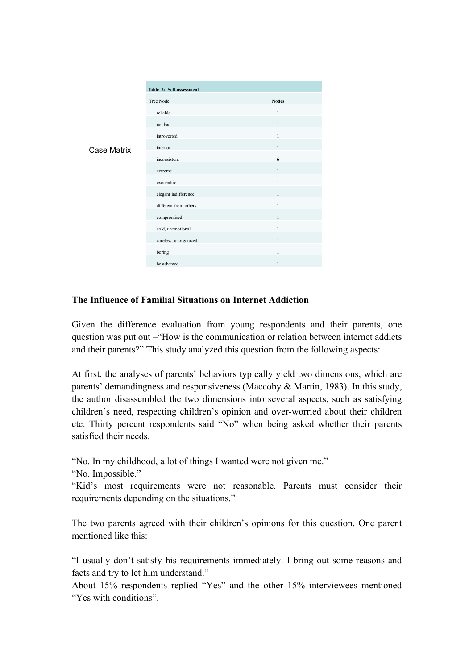|                    | Table 2: Self-assessment |              |
|--------------------|--------------------------|--------------|
| <b>Case Matrix</b> | Tree Node                | <b>Nodes</b> |
|                    | reliable                 | $\mathbf{1}$ |
|                    | not bad                  | $\mathbf{1}$ |
|                    | introverted              | $\mathbf{1}$ |
|                    | inferior                 | $\mathbf{1}$ |
|                    | inconsistent             | 6            |
|                    | extreme                  | $\mathbf{1}$ |
|                    | exocentric               | $\mathbf{1}$ |
|                    | elegant indifference     | $\mathbf{1}$ |
|                    | different from others    | $\mathbf{1}$ |
|                    | compromised              | $\mathbf{1}$ |
|                    | cold, unemotional        | $\mathbf{1}$ |
|                    | careless, unorganized    | $\mathbf{1}$ |
|                    | boring                   | $\mathbf{1}$ |
|                    | be ashamed               | $\mathbf{1}$ |

# **The Influence of Familial Situations on Internet Addiction**

Given the difference evaluation from young respondents and their parents, one question was put out –"How is the communication or relation between internet addicts and their parents?" This study analyzed this question from the following aspects:

At first, the analyses of parents' behaviors typically yield two dimensions, which are parents' demandingness and responsiveness (Maccoby & Martin, 1983). In this study, the author disassembled the two dimensions into several aspects, such as satisfying children's need, respecting children's opinion and over-worried about their children etc. Thirty percent respondents said "No" when being asked whether their parents satisfied their needs.

"No. In my childhood, a lot of things I wanted were not given me."

"No. Impossible."

"Kid's most requirements were not reasonable. Parents must consider their requirements depending on the situations."

The two parents agreed with their children's opinions for this question. One parent mentioned like this:

"I usually don't satisfy his requirements immediately. I bring out some reasons and facts and try to let him understand."

About 15% respondents replied "Yes" and the other 15% interviewees mentioned "Yes with conditions".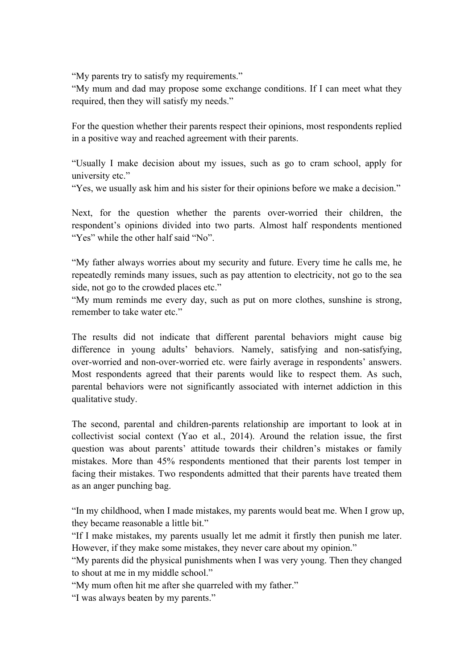"My parents try to satisfy my requirements."

"My mum and dad may propose some exchange conditions. If I can meet what they required, then they will satisfy my needs."

For the question whether their parents respect their opinions, most respondents replied in a positive way and reached agreement with their parents.

"Usually I make decision about my issues, such as go to cram school, apply for university etc."

"Yes, we usually ask him and his sister for their opinions before we make a decision."

Next, for the question whether the parents over-worried their children, the respondent's opinions divided into two parts. Almost half respondents mentioned "Yes" while the other half said "No".

"My father always worries about my security and future. Every time he calls me, he repeatedly reminds many issues, such as pay attention to electricity, not go to the sea side, not go to the crowded places etc."

"My mum reminds me every day, such as put on more clothes, sunshine is strong, remember to take water etc."

The results did not indicate that different parental behaviors might cause big difference in young adults' behaviors. Namely, satisfying and non-satisfying, over-worried and non-over-worried etc. were fairly average in respondents' answers. Most respondents agreed that their parents would like to respect them. As such, parental behaviors were not significantly associated with internet addiction in this qualitative study.

The second, parental and children-parents relationship are important to look at in collectivist social context (Yao et al., 2014). Around the relation issue, the first question was about parents' attitude towards their children's mistakes or family mistakes. More than 45% respondents mentioned that their parents lost temper in facing their mistakes. Two respondents admitted that their parents have treated them as an anger punching bag.

"In my childhood, when I made mistakes, my parents would beat me. When I grow up, they became reasonable a little bit."

"If I make mistakes, my parents usually let me admit it firstly then punish me later. However, if they make some mistakes, they never care about my opinion."

"My parents did the physical punishments when I was very young. Then they changed to shout at me in my middle school."

"My mum often hit me after she quarreled with my father."

"I was always beaten by my parents."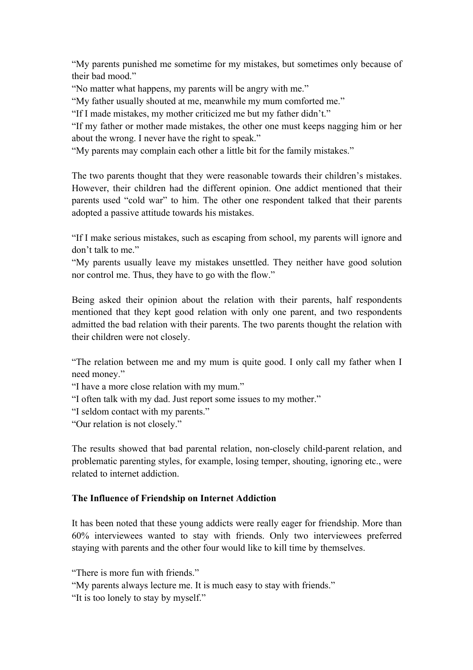"My parents punished me sometime for my mistakes, but sometimes only because of their bad mood."

"No matter what happens, my parents will be angry with me."

"My father usually shouted at me, meanwhile my mum comforted me."

"If I made mistakes, my mother criticized me but my father didn't."

"If my father or mother made mistakes, the other one must keeps nagging him or her about the wrong. I never have the right to speak."

"My parents may complain each other a little bit for the family mistakes."

The two parents thought that they were reasonable towards their children's mistakes. However, their children had the different opinion. One addict mentioned that their parents used "cold war" to him. The other one respondent talked that their parents adopted a passive attitude towards his mistakes.

"If I make serious mistakes, such as escaping from school, my parents will ignore and don't talk to me."

"My parents usually leave my mistakes unsettled. They neither have good solution nor control me. Thus, they have to go with the flow."

Being asked their opinion about the relation with their parents, half respondents mentioned that they kept good relation with only one parent, and two respondents admitted the bad relation with their parents. The two parents thought the relation with their children were not closely.

"The relation between me and my mum is quite good. I only call my father when I need money."

"I have a more close relation with my mum."

"I often talk with my dad. Just report some issues to my mother."

"I seldom contact with my parents."

"Our relation is not closely."

The results showed that bad parental relation, non-closely child-parent relation, and problematic parenting styles, for example, losing temper, shouting, ignoring etc., were related to internet addiction.

#### **The Influence of Friendship on Internet Addiction**

It has been noted that these young addicts were really eager for friendship. More than 60% interviewees wanted to stay with friends. Only two interviewees preferred staying with parents and the other four would like to kill time by themselves.

"There is more fun with friends."

"My parents always lecture me. It is much easy to stay with friends."

"It is too lonely to stay by myself."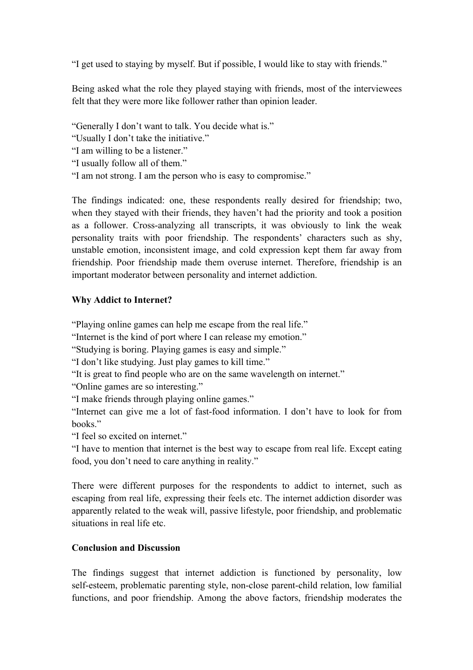"I get used to staying by myself. But if possible, I would like to stay with friends."

Being asked what the role they played staying with friends, most of the interviewees felt that they were more like follower rather than opinion leader.

"Generally I don't want to talk. You decide what is."

"Usually I don't take the initiative."

"I am willing to be a listener."

"I usually follow all of them."

"I am not strong. I am the person who is easy to compromise."

The findings indicated: one, these respondents really desired for friendship; two, when they stayed with their friends, they haven't had the priority and took a position as a follower. Cross-analyzing all transcripts, it was obviously to link the weak personality traits with poor friendship. The respondents' characters such as shy, unstable emotion, inconsistent image, and cold expression kept them far away from friendship. Poor friendship made them overuse internet. Therefore, friendship is an important moderator between personality and internet addiction.

# **Why Addict to Internet?**

"Playing online games can help me escape from the real life."

"Internet is the kind of port where I can release my emotion."

"Studying is boring. Playing games is easy and simple."

"I don't like studying. Just play games to kill time."

"It is great to find people who are on the same wavelength on internet."

"Online games are so interesting."

"I make friends through playing online games."

"Internet can give me a lot of fast-food information. I don't have to look for from books."

"I feel so excited on internet."

"I have to mention that internet is the best way to escape from real life. Except eating food, you don't need to care anything in reality."

There were different purposes for the respondents to addict to internet, such as escaping from real life, expressing their feels etc. The internet addiction disorder was apparently related to the weak will, passive lifestyle, poor friendship, and problematic situations in real life etc.

# **Conclusion and Discussion**

The findings suggest that internet addiction is functioned by personality, low self-esteem, problematic parenting style, non-close parent-child relation, low familial functions, and poor friendship. Among the above factors, friendship moderates the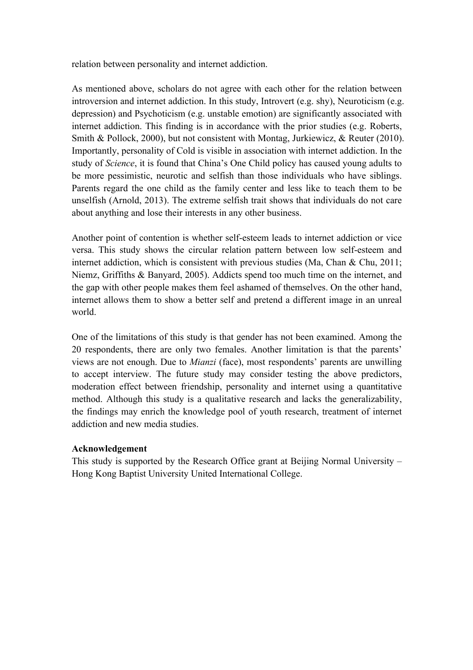relation between personality and internet addiction.

As mentioned above, scholars do not agree with each other for the relation between introversion and internet addiction. In this study, Introvert (e.g. shy), Neuroticism (e.g. depression) and Psychoticism (e.g. unstable emotion) are significantly associated with internet addiction. This finding is in accordance with the prior studies (e.g. Roberts, Smith & Pollock, 2000), but not consistent with Montag, Jurkiewicz, & Reuter (2010). Importantly, personality of Cold is visible in association with internet addiction. In the study of *Science*, it is found that China's One Child policy has caused young adults to be more pessimistic, neurotic and selfish than those individuals who have siblings. Parents regard the one child as the family center and less like to teach them to be unselfish (Arnold, 2013). The extreme selfish trait shows that individuals do not care about anything and lose their interests in any other business.

Another point of contention is whether self-esteem leads to internet addiction or vice versa. This study shows the circular relation pattern between low self-esteem and internet addiction, which is consistent with previous studies (Ma, Chan & Chu, 2011; Niemz, Griffiths & Banyard, 2005). Addicts spend too much time on the internet, and the gap with other people makes them feel ashamed of themselves. On the other hand, internet allows them to show a better self and pretend a different image in an unreal world.

One of the limitations of this study is that gender has not been examined. Among the 20 respondents, there are only two females. Another limitation is that the parents' views are not enough. Due to *Mianzi* (face), most respondents' parents are unwilling to accept interview. The future study may consider testing the above predictors, moderation effect between friendship, personality and internet using a quantitative method. Although this study is a qualitative research and lacks the generalizability, the findings may enrich the knowledge pool of youth research, treatment of internet addiction and new media studies.

#### **Acknowledgement**

This study is supported by the Research Office grant at Beijing Normal University – Hong Kong Baptist University United International College.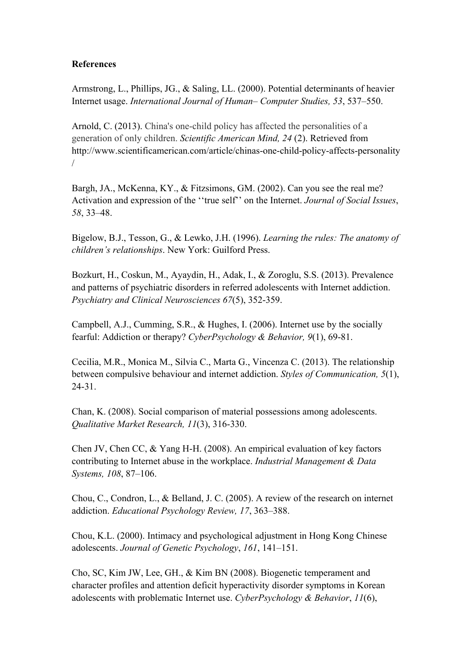## **References**

Armstrong, L., Phillips, JG., & Saling, LL. (2000). Potential determinants of heavier Internet usage. *International Journal of Human– Computer Studies, 53*, 537–550.

Arnold, C. (2013). China's one-child policy has affected the personalities of a generation of only children. *Scientific American Mind, 24* (2). Retrieved from http://www.scientificamerican.com/article/chinas-one-child-policy-affects-personality /

Bargh, JA., McKenna, KY., & Fitzsimons, GM. (2002). Can you see the real me? Activation and expression of the ''true self'' on the Internet. *Journal of Social Issues*, *58*, 33–48.

Bigelow, B.J., Tesson, G., & Lewko, J.H. (1996). *Learning the rules: The anatomy of children's relationships*. New York: Guilford Press.

Bozkurt, H., Coskun, M., Ayaydin, H., Adak, I., & Zoroglu, S.S. (2013). Prevalence and patterns of psychiatric disorders in referred adolescents with Internet addiction. *Psychiatry and Clinical Neurosciences 67*(5), 352-359.

Campbell, A.J., Cumming, S.R., & Hughes, I. (2006). Internet use by the socially fearful: Addiction or therapy? *CyberPsychology & Behavior, 9*(1), 69-81.

Cecilia, M.R., Monica M., Silvia C., Marta G., Vincenza C. (2013). The relationship between compulsive behaviour and internet addiction. *Styles of Communication, 5*(1), 24-31.

Chan, K. (2008). Social comparison of material possessions among adolescents. *Qualitative Market Research, 11*(3), 316-330.

Chen JV, Chen CC, & Yang H-H. (2008). An empirical evaluation of key factors contributing to Internet abuse in the workplace. *Industrial Management & Data Systems, 108*, 87–106.

Chou, C., Condron, L., & Belland, J. C. (2005). A review of the research on internet addiction. *Educational Psychology Review, 17*, 363–388.

Chou, K.L. (2000). Intimacy and psychological adjustment in Hong Kong Chinese adolescents. *Journal of Genetic Psychology*, *161*, 141–151.

Cho, SC, Kim JW, Lee, GH., & Kim BN (2008). Biogenetic temperament and character profiles and attention deficit hyperactivity disorder symptoms in Korean adolescents with problematic Internet use. *CyberPsychology & Behavior*, *11*(6),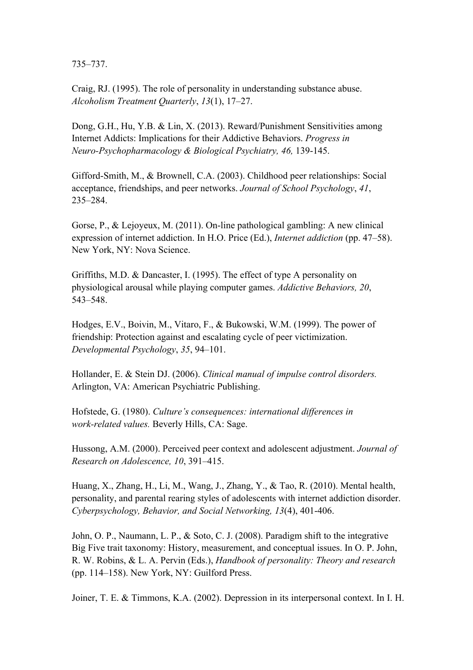735–737.

Craig, RJ. (1995). The role of personality in understanding substance abuse. *Alcoholism Treatment Quarterly*, *13*(1), 17–27.

Dong, G.H., Hu, Y.B. & Lin, X. (2013). Reward/Punishment Sensitivities among Internet Addicts: Implications for their Addictive Behaviors. *Progress in Neuro-Psychopharmacology & Biological Psychiatry, 46,* 139-145.

Gifford-Smith, M., & Brownell, C.A. (2003). Childhood peer relationships: Social acceptance, friendships, and peer networks. *Journal of School Psychology*, *41*, 235–284.

Gorse, P., & Lejoyeux, M. (2011). On-line pathological gambling: A new clinical expression of internet addiction. In H.O. Price (Ed.), *Internet addiction* (pp. 47–58). New York, NY: Nova Science.

Griffiths, M.D. & Dancaster, I. (1995). The effect of type A personality on physiological arousal while playing computer games. *Addictive Behaviors, 20*, 543–548.

Hodges, E.V., Boivin, M., Vitaro, F., & Bukowski, W.M. (1999). The power of friendship: Protection against and escalating cycle of peer victimization. *Developmental Psychology*, *35*, 94–101.

Hollander, E. & Stein DJ. (2006). *Clinical manual of impulse control disorders.* Arlington, VA: American Psychiatric Publishing.

Hofstede, G. (1980). *Culture's consequences: international differences in work-related values.* Beverly Hills, CA: Sage.

Hussong, A.M. (2000). Perceived peer context and adolescent adjustment. *Journal of Research on Adolescence, 10*, 391–415.

Huang, X., Zhang, H., Li, M., Wang, J., Zhang, Y., & Tao, R. (2010). Mental health, personality, and parental rearing styles of adolescents with internet addiction disorder. *Cyberpsychology, Behavior, and Social Networking, 13*(4), 401-406.

John, O. P., Naumann, L. P., & Soto, C. J. (2008). Paradigm shift to the integrative Big Five trait taxonomy: History, measurement, and conceptual issues. In O. P. John, R. W. Robins, & L. A. Pervin (Eds.), *Handbook of personality: Theory and research*  (pp. 114–158). New York, NY: Guilford Press.

Joiner, T. E. & Timmons, K.A. (2002). Depression in its interpersonal context. In I. H.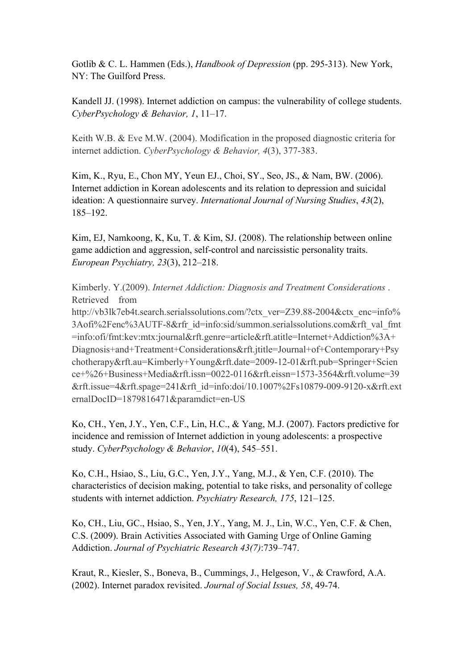Gotlib & C. L. Hammen (Eds.), *Handbook of Depression* (pp. 295-313). New York, NY: The Guilford Press.

Kandell JJ. (1998). Internet addiction on campus: the vulnerability of college students. *CyberPsychology & Behavior, 1*, 11–17.

Keith W.B. & Eve M.W. (2004). Modification in the proposed diagnostic criteria for internet addiction. *CyberPsychology & Behavior, 4*(3), 377-383.

Kim, K., Ryu, E., Chon MY, Yeun EJ., Choi, SY., Seo, JS., & Nam, BW. (2006). Internet addiction in Korean adolescents and its relation to depression and suicidal ideation: A questionnaire survey. *International Journal of Nursing Studies*, *43*(2), 185–192.

Kim, EJ, Namkoong, K, Ku, T. & Kim, SJ. (2008). The relationship between online game addiction and aggression, self-control and narcissistic personality traits. *European Psychiatry, 23*(3), 212–218.

Kimberly. Y.(2009). *Internet Addiction: Diagnosis and Treatment Considerations* . Retrieved from

http://vb3lk7eb4t.search.serialssolutions.com/?ctx\_ver=Z39.88-2004&ctx\_enc=info% 3Aofi%2Fenc%3AUTF-8&rfr\_id=info:sid/summon.serialssolutions.com&rft\_val\_fmt =info:ofi/fmt:kev:mtx:journal&rft.genre=article&rft.atitle=Internet+Addiction%3A+ Diagnosis+and+Treatment+Considerations&rft.jtitle=Journal+of+Contemporary+Psy chotherapy&rft.au=Kimberly+Young&rft.date=2009-12-01&rft.pub=Springer+Scien ce+%26+Business+Media&rft.issn=0022-0116&rft.eissn=1573-3564&rft.volume=39 &rft.issue=4&rft.spage=241&rft\_id=info:doi/10.1007%2Fs10879-009-9120-x&rft.ext ernalDocID=1879816471&paramdict=en-US

Ko, CH., Yen, J.Y., Yen, C.F., Lin, H.C., & Yang, M.J. (2007). Factors predictive for incidence and remission of Internet addiction in young adolescents: a prospective study. *CyberPsychology & Behavior*, *10*(4), 545–551.

Ko, C.H., Hsiao, S., Liu, G.C., Yen, J.Y., Yang, M.J., & Yen, C.F. (2010). The characteristics of decision making, potential to take risks, and personality of college students with internet addiction. *Psychiatry Research, 175*, 121–125.

Ko, CH., Liu, GC., Hsiao, S., Yen, J.Y., Yang, M. J., Lin, W.C., Yen, C.F. & Chen, C.S. (2009). Brain Activities Associated with Gaming Urge of Online Gaming Addiction. *Journal of Psychiatric Research 43(7)*:739–747.

Kraut, R., Kiesler, S., Boneva, B., Cummings, J., Helgeson, V., & Crawford, A.A. (2002). Internet paradox revisited. *Journal of Social Issues, 58*, 49-74.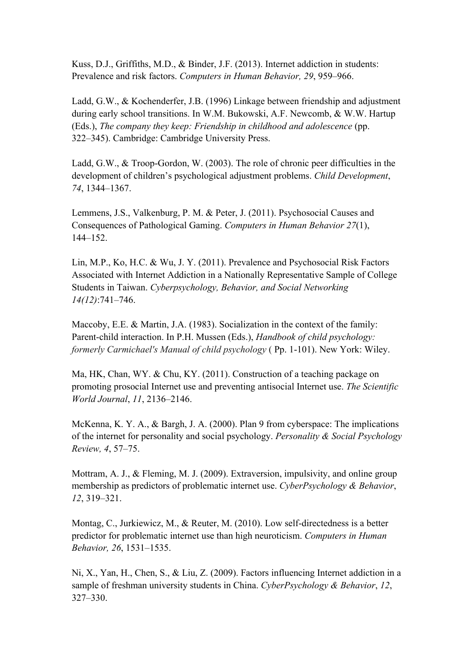Kuss, D.J., Griffiths, M.D., & Binder, J.F. (2013). Internet addiction in students: Prevalence and risk factors. *Computers in Human Behavior, 29*, 959–966.

Ladd, G.W., & Kochenderfer, J.B. (1996) Linkage between friendship and adjustment during early school transitions. In W.M. Bukowski, A.F. Newcomb, & W.W. Hartup (Eds.), *The company they keep: Friendship in childhood and adolescence* (pp. 322–345). Cambridge: Cambridge University Press.

Ladd, G.W., & Troop-Gordon, W. (2003). The role of chronic peer difficulties in the development of children's psychological adjustment problems. *Child Development*, *74*, 1344–1367.

Lemmens, J.S., Valkenburg, P. M. & Peter, J. (2011). Psychosocial Causes and Consequences of Pathological Gaming. *Computers in Human Behavior 27*(1), 144–152.

Lin, M.P., Ko, H.C. & Wu, J. Y. (2011). Prevalence and Psychosocial Risk Factors Associated with Internet Addiction in a Nationally Representative Sample of College Students in Taiwan. *Cyberpsychology, Behavior, and Social Networking 14(12)*:741–746.

Maccoby, E.E. & Martin, J.A. (1983). Socialization in the context of the family: Parent-child interaction. In P.H. Mussen (Eds.), *Handbook of child psychology: formerly Carmichael's Manual of child psychology* ( Pp. 1-101). New York: Wiley.

Ma, HK, Chan, WY. & Chu, KY. (2011). Construction of a teaching package on promoting prosocial Internet use and preventing antisocial Internet use. *The Scientific World Journal*, *11*, 2136–2146.

McKenna, K. Y. A., & Bargh, J. A. (2000). Plan 9 from cyberspace: The implications of the internet for personality and social psychology. *Personality & Social Psychology Review, 4*, 57–75.

Mottram, A. J., & Fleming, M. J. (2009). Extraversion, impulsivity, and online group membership as predictors of problematic internet use. *CyberPsychology & Behavior*, *12*, 319–321.

Montag, C., Jurkiewicz, M., & Reuter, M. (2010). Low self-directedness is a better predictor for problematic internet use than high neuroticism. *Computers in Human Behavior, 26*, 1531–1535.

Ni, X., Yan, H., Chen, S., & Liu, Z. (2009). Factors influencing Internet addiction in a sample of freshman university students in China. *CyberPsychology & Behavior*, *12*, 327–330.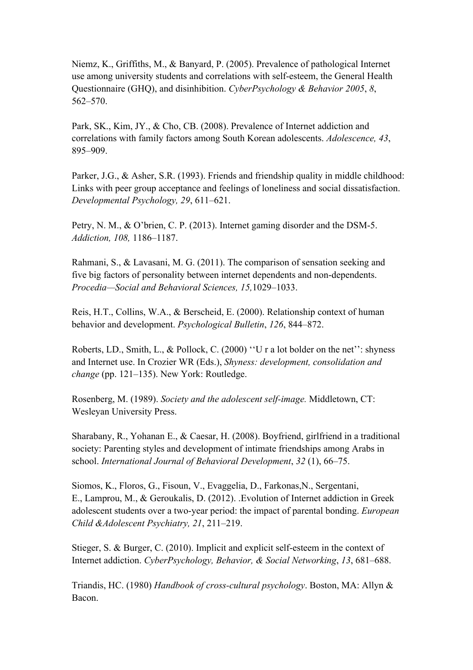Niemz, K., Griffiths, M., & Banyard, P. (2005). Prevalence of pathological Internet use among university students and correlations with self-esteem, the General Health Questionnaire (GHQ), and disinhibition. *CyberPsychology & Behavior 2005*, *8*, 562–570.

Park, SK., Kim, JY., & Cho, CB. (2008). Prevalence of Internet addiction and correlations with family factors among South Korean adolescents. *Adolescence, 43*, 895–909.

Parker, J.G., & Asher, S.R. (1993). Friends and friendship quality in middle childhood: Links with peer group acceptance and feelings of loneliness and social dissatisfaction. *Developmental Psychology, 29*, 611–621.

Petry, N. M., & O'brien, C. P. (2013). Internet gaming disorder and the DSM-5. *Addiction, 108,* 1186–1187.

Rahmani, S., & Lavasani, M. G. (2011). The comparison of sensation seeking and five big factors of personality between internet dependents and non-dependents. *Procedia—Social and Behavioral Sciences, 15,*1029–1033.

Reis, H.T., Collins, W.A., & Berscheid, E. (2000). Relationship context of human behavior and development. *Psychological Bulletin*, *126*, 844–872.

Roberts, LD., Smith, L., & Pollock, C. (2000) ''U r a lot bolder on the net'': shyness and Internet use. In Crozier WR (Eds.), *Shyness: development, consolidation and change* (pp. 121–135). New York: Routledge.

Rosenberg, M. (1989). *Society and the adolescent self-image.* Middletown, CT: Wesleyan University Press.

Sharabany, R., Yohanan E., & Caesar, H. (2008). Boyfriend, girlfriend in a traditional society: Parenting styles and development of intimate friendships among Arabs in school. *International Journal of Behavioral Development*, *32* (1), 66–75.

Siomos, K., Floros, G., Fisoun, V., Evaggelia, D., Farkonas,N., Sergentani, E., Lamprou, M., & Geroukalis, D. (2012). .Evolution of Internet addiction in Greek adolescent students over a two-year period: the impact of parental bonding. *European Child &Adolescent Psychiatry, 21*, 211–219.

Stieger, S. & Burger, C. (2010). Implicit and explicit self-esteem in the context of Internet addiction. *CyberPsychology, Behavior, & Social Networking*, *13*, 681–688.

Triandis, HC. (1980) *Handbook of cross-cultural psychology*. Boston, MA: Allyn & Bacon.